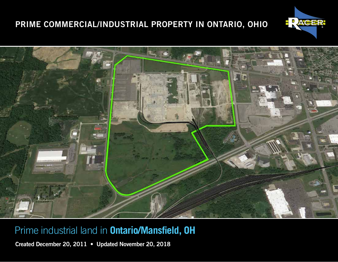



# Prime industrial land in **Ontario/Mansfield, OH**

Created December 20, 2011 • Updated November 20, 2018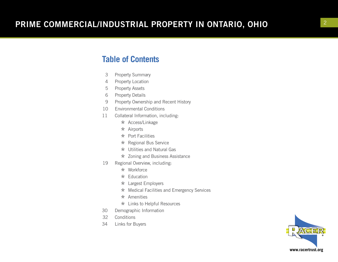### **Table of Contents**

- <sup>3</sup> Property Summary 4 Property Location
- 
- 5 Property Assets
- 
- <sup>6</sup> Property Details 9 Property Ownership and Recent History
- 10 Environmental Conditions
- 11 Collateral Information, including:
	- \* Access/Linkage
	- $\star$  Airports
	- $\star$  Port Facilities
	- \* Regional Bus Service
	- \* Utilities and Natural Gas
	- \* Zoning and Business Assistance
- 19 Regional Overview, including:
	- \* Workforce
	- $\star$  Education
	- \* Largest Employers
	- \* Medical Facilities and Emergency Services
	- $\star$  Amenities
	- \* Links to Helpful Resources
- 30 Demographic Information
- 32 Conditions
- 34 Links for Buyers

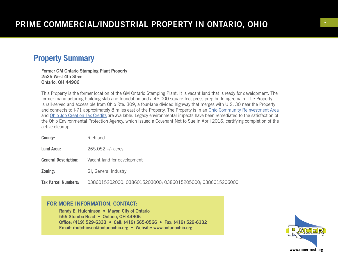#### **Property Summary**

Former GM Ontario Stamping Plant Property 2525 West 4th Street Ontario, OH 44906

This Property is the former location of the GM Ontario Stamping Plant. It is vacant land that is ready for development. The former manufacturing building slab and foundation and a 45,000-square-foot press prep building remain. The Property is rail-served and accessible from Ohio Rte. 309, a four-lane divided highway that merges with U.S. 30 near the Property and connects to I-71 approximately 8 miles east of the Property. The Property is in an Ohio Community Reinvestment Area and Ohio Job Creation Tax Credits are available. Legacy environmental impacts have been remediated to the satisfaction of the Ohio Environmental Protection Agency, which issued a Covenant Not to Sue in April 2016, certifying completion of the active cleanup.

| County:                     | Richland                                                   |
|-----------------------------|------------------------------------------------------------|
| Land Area:                  | $265.052 +/-$ acres                                        |
| <b>General Description:</b> | Vacant land for development                                |
| Zoning:                     | GI, General Industry                                       |
| <b>Tax Parcel Numbers:</b>  | 0386015202000; 0386015203000; 0386015205000; 0386015206000 |

#### FOR MORE INFORMATION, CONTACT:

Randy E. Hutchinson • Mayor, City of Ontario 555 Stumbo Road • Ontario, OH 44906 Office: (419) 529-6333 • Cell: (419) 565-0566 • Fax: (419) 529-6132 Email: rhutchinson@ontarioohio.org • Website: www.ontarioohio.org

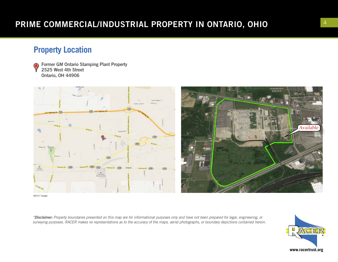## **Property Location**

Former GM Ontario Stamping Plant Property A) 2525 West 4th Street Ontario, OH 44906





©2017 Google

*\*Disclaimer: Property boundaries presented on this map are for informational purposes only and have not been prepared for legal, engineering, or surveying purposes. RACER makes no representations as to the accuracy of the maps, aerial photographs, or boundary depictions contained herein.*

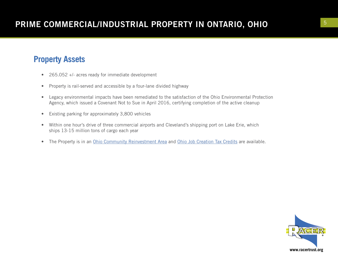## **Property Assets**

- 265.052 +/- acres ready for immediate development
- Property is rail-served and accessible by a four-lane divided highway
- Legacy environmental impacts have been remediated to the satisfaction of the Ohio Environmental Protection Agency, which issued a Covenant Not to Sue in April 2016, certifying completion of the active cleanup
- Existing parking for approximately 3,800 vehicles
- Within one hour's drive of three commercial airports and Cleveland's shipping port on Lake Erie, which ships 13-15 million tons of cargo each year
- The Property is in an Ohio Community Reinvestment Area and Ohio Job Creation Tax Credits are available.

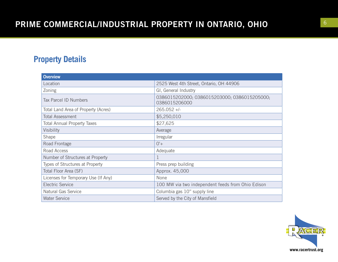## **Property Details**

| <b>Overview</b>                     |                                                               |
|-------------------------------------|---------------------------------------------------------------|
| Location                            | 2525 West 4th Street, Ontario, OH 44906                       |
| Zoning                              | GI, General Industry                                          |
| <b>Tax Parcel ID Numbers</b>        | 0386015202000; 0386015203000; 0386015205000;<br>0386015206000 |
| Total Land Area of Property (Acres) | $265.052 +/-$                                                 |
| <b>Total Assessment</b>             | \$5,250,010                                                   |
| <b>Total Annual Property Taxes</b>  | \$27,625                                                      |
| Visibility                          | Average                                                       |
| Shape                               | Irregular                                                     |
| Road Frontage                       | $0'+$                                                         |
| Road Access                         | Adequate                                                      |
| Number of Structures at Property    |                                                               |
| Types of Structures at Property     | Press prep building                                           |
| Total Floor Area (SF)               | Approx. 45,000                                                |
| Licenses for Temporary Use (If Any) | None                                                          |
| <b>Electric Service</b>             | 100 MW via two independent feeds from Ohio Edison             |
| Natural Gas Service                 | Columbia gas 10" supply line                                  |
| <b>Water Service</b>                | Served by the City of Mansfield                               |

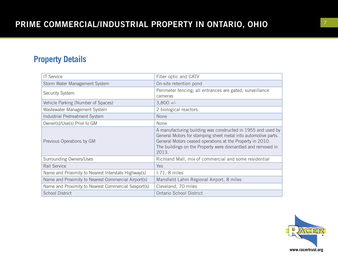## **Property Details**

| <b>IT Service</b>                                   | Fiber optic and CATV                                                                                                                                                                                                                                                 |
|-----------------------------------------------------|----------------------------------------------------------------------------------------------------------------------------------------------------------------------------------------------------------------------------------------------------------------------|
| Storm Water Management System                       | On-site retention pond                                                                                                                                                                                                                                               |
| Security System                                     | Perimeter fencing; all entrances are gated; surveillance<br>cameras                                                                                                                                                                                                  |
| Vehicle Parking (Number of Spaces)                  | $3,800 +/-$                                                                                                                                                                                                                                                          |
| Wastewater Management System                        | 2 biological reactors                                                                                                                                                                                                                                                |
| Industrial Pretreatment System                      | None                                                                                                                                                                                                                                                                 |
| Owner(s)/Use(s) Prior to GM                         | None                                                                                                                                                                                                                                                                 |
| Previous Operations by GM                           | A manufacturing building was constructed in 1955 and used by<br>General Motors for stamping sheet metal into automotive parts.<br>General Motors ceased operations at the Property in 2010.<br>The buildings on the Property were dismantled and removed in<br>2013. |
| <b>Surrounding Owners/Uses</b>                      | Richland Mall, mix of commercial and some residential                                                                                                                                                                                                                |
| Rail Service                                        | Yes                                                                                                                                                                                                                                                                  |
| Name and Proximity to Nearest Interstate Highway(s) | $I-71$ , 8 miles                                                                                                                                                                                                                                                     |
| Name and Proximity to Nearest Commercial Airport(s) | Mansfield Lahm Regional Airport, 8 miles                                                                                                                                                                                                                             |
| Name and Proximity to Nearest Commercial Seaport(s) | Cleveland, 70 miles                                                                                                                                                                                                                                                  |
| <b>School District</b>                              | <b>Ontario School District</b>                                                                                                                                                                                                                                       |

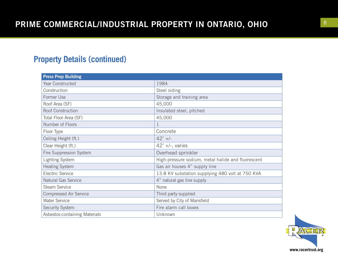## **Property Details (continued)**

| <b>Press Prep Building</b>    |                                                    |
|-------------------------------|----------------------------------------------------|
| Year Constructed              | 1984                                               |
| Construction                  | Steel siding                                       |
| Former Use                    | Storage and training area                          |
| Roof Area (SF)                | 45,000                                             |
| Roof Construction             | Insulated steel, pitched                           |
| Total Floor Area (SF)         | 45,000                                             |
| Number of Floors              | 1                                                  |
| Floor Type                    | Concrete                                           |
| Ceiling Height (ft.)          | $42'$ +/-                                          |
| Clear Height (ft.)            | $42'$ +/-, varies                                  |
| Fire Suppression System       | Overhead sprinkler                                 |
| <b>Lighting System</b>        | High-pressure sodium, metal halide and fluorescent |
| <b>Heating System</b>         | Gas air houses 4" supply line                      |
| <b>Electric Service</b>       | 13.8 KV substation supplying 480 volt at 750 KVA   |
| <b>Natural Gas Service</b>    | 4" natural gas line supply                         |
| <b>Steam Service</b>          | None                                               |
| <b>Compressed Air Service</b> | Third party supplied                               |
| <b>Water Service</b>          | Served by City of Mansfield                        |
| <b>Security System</b>        | Fire alarm call boxes                              |
| Asbestos-containing Materials | Unknown                                            |

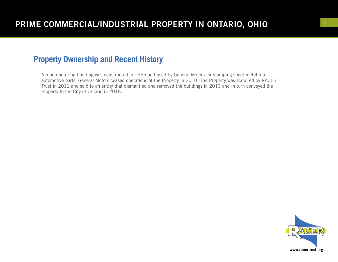### **Property Ownership and Recent History**

A manufacturing building was constructed in 1955 and used by General Motors for stamping sheet metal into automotive parts. General Motors ceased operations at the Property in 2010. The Property was acquired by RACER Trust in 2011 and sold to an entity that dismantled and removed the buildings in 2013 and in turn conveyed the Property to the City of Ontario in 2018.

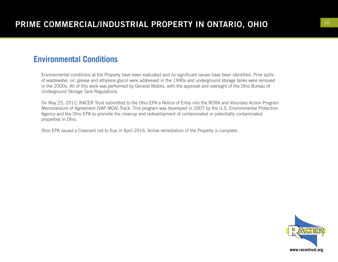## **Environmental Conditions**

Environmental conditions at the Property have been evaluated and no significant issues have been identified. Prior spills of wastewater, oil, grease and ethylene glycol were addressed in the 1990s and underground storage tanks were removed in the 2000s. All of this work was performed by General Motors, with the approval and oversight of the Ohio Bureau of Underground Storage Tank Regulations.

On May 25, 2012, RACER Trust submitted to the Ohio EPA a Notice of Entry into the RCRA and Voluntary Action Program Memorandum of Agreement (VAP MOA) Track. This program was developed in 2007 by the U.S. Environmental Protection Agency and the Ohio EPA to promote the cleanup and redevelopment of contaminated or potentially contaminated properties in Ohio.

Ohio EPA issued a Covenant not to Sue in April 2016. Active remediation of the Property is complete.

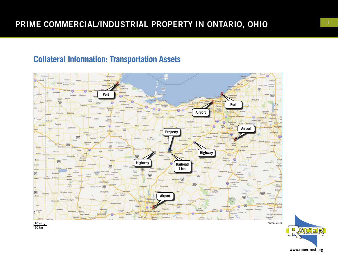## **Collateral Information: Transportation Assets**



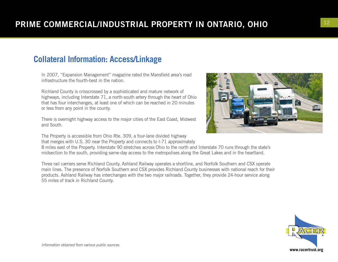## **Collateral Information: Access/Linkage**

In 2007, "Expansion Management" magazine rated the Mansfield area's road infrastructure the fourth-best in the nation.

Richland County is crisscrossed by a sophisticated and mature network of highways, including Interstate 71, a north-south artery through the heart of Ohio that has four interchanges, at least one of which can be reached in 20 minutes or less from any point in the county.

There is overnight highway access to the major cities of the East Coast, Midwest and South.

The Property is accessible from Ohio Rte. 309, a four-lane divided highway

that merges with U.S. 30 near the Property and connects to I-71 approximately 8 miles east of the Property. Interstate 90 stretches across Ohio to the north and Interstate 70 runs through the state's midsection to the south, providing same-day access to the metropolises along the Great Lakes and in the heartland.

Three rail carriers serve Richland County. Ashland Railway operates a shortline, and Norfolk Southern and CSX operate main lines. The presence of Norfolk Southern and CSX provides Richland County businesses with national reach for their products. Ashland Railway has interchanges with the two major railroads. Together, they provide 24-hour service along 55 miles of track in Richland County.



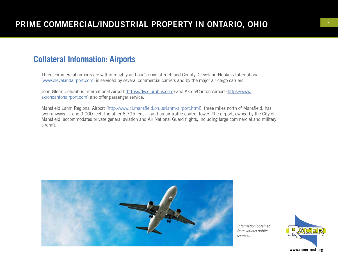### **Collateral Information: Airports**

Three commercial airports are within roughly an hour's drive of Richland County. Cleveland Hopkins International (www.clevelandairport.com) is serviced by several commercial carriers and by the major air cargo carriers.

John Glenn Columbus International Airport (https://flycolumbus.com) and Akron/Canton Airport (https://www. akroncantonairport.com) also offer passenger service.

Mansfield Lahm Regional Airport (http://www.ci.mansfield.oh.us/lahm-airport.html), three miles north of Mansfield, has two runways — one 9,000 feet, the other 6,795 feet — and an air traffic control tower. The airport, owned by the City of Mansfield, accommodates private general aviation and Air National Guard flights, including large commercial and military aircraft.



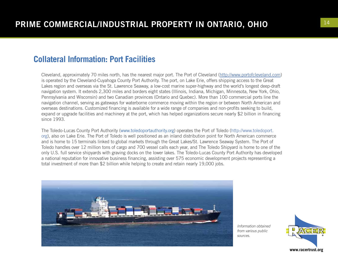#### **Collateral Information: Port Facilities**

Cleveland, approximately 70 miles north, has the nearest major port. The Port of Cleveland (http://www.portofcleveland.com) is operated by the Cleveland-Cuyahoga County Port Authority. The port, on Lake Erie, offers shipping access to the Great Lakes region and overseas via the St. Lawrence Seaway, a low-cost marine super-highway and the world's longest deep-draft navigation system. It extends 2,300 miles and borders eight states (Illinois, Indiana, Michigan, Minnesota, New York, Ohio, Pennsylvania and Wisconsin) and two Canadian provinces (Ontario and Quebec). More than 100 commercial ports line the navigation channel, serving as gateways for waterborne commerce moving within the region or between North American and overseas destinations. Customized financing is available for a wide range of companies and non-profits seeking to build, expand or upgrade facilities and machinery at the port, which has helped organizations secure nearly \$2 billion in financing since 1993.

The Toledo-Lucas County Port Authority (www.toledoportauthority.org) operates the Port of Toledo (http://www.toledoport. org), also on Lake Erie. The Port of Toledo is well positioned as an inland distribution point for North American commerce and is home to 15 terminals linked to global markets through the Great Lakes/St. Lawrence Seaway System. The Port of Toledo handles over 12 million tons of cargo and 700 vessel calls each year, and The Toledo Shipyard is home to one of the only U.S. full service shipyards with graving docks on the lower lakes. The Toledo-Lucas County Port Authority has developed a national reputation for innovative business financing, assisting over 575 economic development projects representing a total investment of more than \$2 billion while helping to create and retain nearly 19,000 jobs.



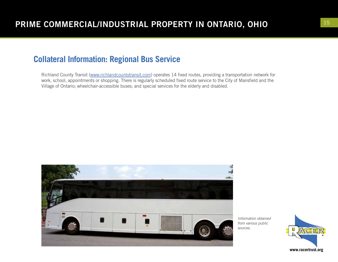## **Collateral Information: Regional Bus Service**

Richland County Transit (www.richlandcountytransit.com) operates 14 fixed routes, providing a transportation network for work, school, appointments or shopping. There is regularly scheduled fixed route service to the City of Mansfield and the Village of Ontario; wheelchair-accessible buses; and special services for the elderly and disabled.



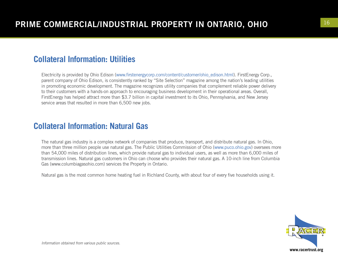## **Collateral Information: Utilities**

Electricity is provided by Ohio Edison (www.firstenergycorp.com/content/customer/ohio\_edison.html). FirstEnergy Corp., parent company of Ohio Edison, is consistently ranked by "Site Selection" magazine among the nation's leading utilities in promoting economic development. The magazine recognizes utility companies that complement reliable power delivery to their customers with a hands-on approach to encouraging business development in their operational areas. Overall, FirstEnergy has helped attract more than \$3.7 billion in capital investment to its Ohio, Pennsylvania, and New Jersey service areas that resulted in more than 6,500 new jobs.

## **Collateral Information: Natural Gas**

The natural gas industry is a complex network of companies that produce, transport, and distribute natural gas. In Ohio, more than three million people use natural gas. The Public Utilities Commission of Ohio (www.puco.ohio.gov) oversees more than 54,000 miles of distribution lines, which provide natural gas to individual users, as well as more than 6,000 miles of transmission lines. Natural gas customers in Ohio can choose who provides their natural gas. A 10-inch line from Columbia Gas (www.columbiagasohio.com) services the Property in Ontario.

Natural gas is the most common home heating fuel in Richland County, with about four of every five households using it.

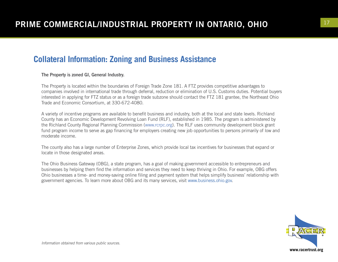## **Collateral Information: Zoning and Business Assistance**

#### The Property is zoned GI, General Industry.

The Property is located within the boundaries of Foreign Trade Zone 181. A FTZ provides competitive advantages to companies involved in international trade through deferral, reduction or elimination of U.S. Customs duties. Potential buyers interested in applying for FTZ status or as a foreign trade subzone should contact the FTZ 181 grantee, the Northeast Ohio Trade and Economic Consortium, at 330-672-4080.

A variety of incentive programs are available to benefit business and industry, both at the local and state levels. Richland County has an Economic Development Revolving Loan Fund (RLF), established in 1985. The program is administered by the Richland County Regional Planning Commission (www.rcrpc.org). The RLF uses community development block grant fund program income to serve as gap financing for employers creating new job opportunities to persons primarily of low and moderate income.

The county also has a large number of Enterprise Zones, which provide local tax incentives for businesses that expand or locate in those designated areas.

The Ohio Business Gateway (OBG), a state program, has a goal of making government accessible to entrepreneurs and businesses by helping them find the information and services they need to keep thriving in Ohio. For example, OBG offers Ohio businesses a time- and money-saving online filing and payment system that helps simplify business' relationship with government agencies. To learn more about OBG and its many services, visit www.business.ohio.gov.

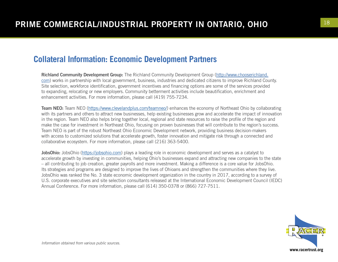### **Collateral Information: Economic Development Partners**

Richland Community Development Group: The Richland Community Development Group (http://www.chooserichland. com) works in partnership with local government, business, industries and dedicated citizens to improve Richland County. Site selection, workforce identification, government incentives and financing options are some of the services provided to expanding, relocating or new employers. Community betterment activities include beautification, enrichment and enhancement activities. For more information, please call (419) 755-7234.

Team NEO: Team NEO (https://www.clevelandplus.com/teamneo/) enhances the economy of Northeast Ohio by collaborating with its partners and others to attract new businesses, help existing businesses grow and accelerate the impact of innovation in the region. Team NEO also helps bring together local, regional and state resources to raise the profile of the region and make the case for investment in Northeast Ohio, focusing on proven businesses that will contribute to the region's success. Team NEO is part of the robust Northeast Ohio Economic Development network, providing business decision-makers with access to customized solutions that accelerate growth, foster innovation and mitigate risk through a connected and collaborative ecosystem. For more information, please call (216) 363-5400.

JobsOhio: JobsOhio (https://jobsohio.com) plays a leading role in economic development and serves as a catalyst to accelerate growth by investing in communities, helping Ohio's businesses expand and attracting new companies to the state – all contributing to job creation, greater payrolls and more investment. Making a difference is a core value for JobsOhio. Its strategies and programs are designed to improve the lives of Ohioans and strengthen the communities where they live. JobsOhio was ranked the No. 3 state economic development organization in the country in 2017, according to a survey of U.S. corporate executives and site selection consultants released at the International Economic Development Council (IEDC) Annual Conference. For more information, please call (614) 350-0378 or (866) 727-7511.

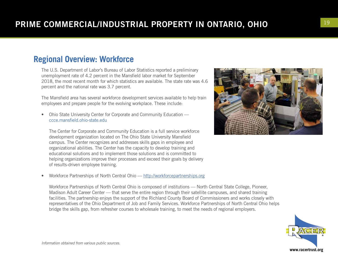## **Regional Overview: Workforce**

The U.S. Department of Labor's Bureau of Labor Statistics reported a preliminary unemployment rate of 4.2 percent in the Mansfield labor market for September 2018, the most recent month for which statistics are available. The state rate was 4.6 percent and the national rate was 3.7 percent.

The Mansfield area has several workforce development services available to help train employees and prepare people for the evolving workplace. These include:

• Ohio State University Center for Corporate and Community Education ccce.mansfield.ohio-state.edu

The Center for Corporate and Community Education is a full service workforce development organization located on The Ohio State University Mansfield campus. The Center recognizes and addresses skills gaps in employee and organizational abilities. The Center has the capacity to develop training and educational solutions and to implement those solutions and is committed to helping organizations improve their processes and exceed their goals by delivery of results-driven employee training.

• Workforce Partnerships of North Central Ohio — http://workforcepartnerships.org

Workforce Partnerships of North Central Ohio is composed of institutions — North Central State College, Pioneer, Madison Adult Career Center — that serve the entire region through their satellite campuses, and shared training facilities. The partnership enjoys the support of the Richland County Board of Commissioners and works closely with representatives of the Ohio Department of Job and Family Services. Workforce Partnerships of North Central Ohio helps bridge the skills gap, from refresher courses to wholesale training, to meet the needs of regional employers.



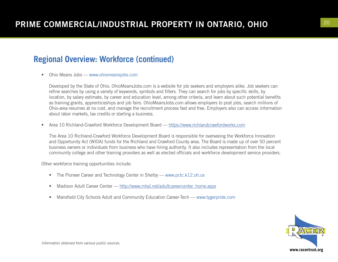## **Regional Overview: Workforce (continued)**

• Ohio Means Jobs — www.ohiomeansjobs.com

Developed by the State of Ohio, OhioMeansJobs.com is a website for job seekers and employers alike. Job seekers can refine searches by using a variety of keywords, symbols and filters. They can search for jobs by specific skills, by location, by salary estimate, by career and education level, among other criteria, and learn about such potential benefits as training grants, apprenticeships and job fairs. OhioMeansJobs.com allows employers to post jobs, search millions of Ohio-area resumes at no cost, and manage the recruitment process fast and free. Employers also can access information about labor markets, tax credits or starting a business.

• Area 10 Richland-Crawford Workforce Development Board — https://www.richlandcrawfordworks.com

The Area 10 Richland-Crawford Workforce Development Board is responsible for overseeing the Workforce Innovation and Opportunity Act (WIOA) funds for the Richland and Crawford County area. The Board is made up of over 50 percent business owners or individuals from business who have hiring authority. It also includes representation from the local community college and other training providers as well as elected officials and workforce development service providers.

Other workforce training opportunities include:

- The Pioneer Career and Technology Center in Shelby www.pctc.k12.oh.us
- Madison Adult Career Center http://www.mlsd.net/adultcareercenter\_home.aspx
- Mansfield City Schools Adult and Community Education Career-Tech www.tygerpride.com

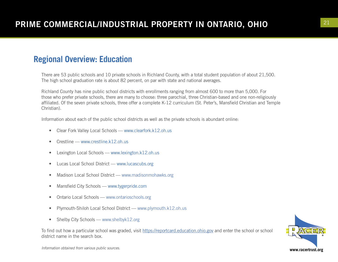## **Regional Overview: Education**

There are 53 public schools and 10 private schools in Richland County, with a total student population of about 21,500. The high school graduation rate is about 82 percent, on par with state and national averages.

Richland County has nine public school districts with enrollments ranging from almost 600 to more than 5,000. For those who prefer private schools, there are many to choose: three parochial, three Christian-based and one non-religiously affiliated. Of the seven private schools, three offer a complete K-12 curriculum (St. Peter's, Mansfield Christian and Temple Christian).

Information about each of the public school districts as well as the private schools is abundant online:

- Clear Fork Valley Local Schools www.clearfork.k12.oh.us
- Crestline www.crestline.k12.oh.us
- Lexington Local Schools www.lexington.k12.oh.us
- Lucas Local School District www.lucascubs.org
- Madison Local School District www.madisonmohawks.org
- Mansfield City Schools www.tygerpride.com
- Ontario Local Schools www.ontarioschools.org
- Plymouth-Shiloh Local School District www.plymouth.k12.oh.us
- Shelby City Schools www.shelbyk12.org

To find out how a particular school was graded, visit https://reportcard.education.ohio.gov and enter the school or school district name in the search box.

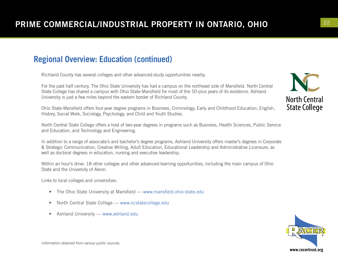## **Regional Overview: Education (continued)**

Richland County has several colleges and other advanced-study opportunities nearby.

For the past half century, The Ohio State University has had a campus on the northeast side of Mansfield. North Central State College has shared a campus with Ohio State-Mansfield for most of the 50-plus years of its existence. Ashland University is just a few miles beyond the eastern border of Richland County.

Ohio State-Mansfield offers four-year degree programs in Business, Criminology, Early and Childhood Education, English, History, Social Work, Sociology, Psychology, and Child and Youth Studies.

North Central State College offers a host of two-year degrees in programs such as Business, Health Sciences, Public Service and Education, and Technology and Engineering.

In addition to a range of associate's and bachelor's degree programs, Ashland University offers master's degrees in Corporate & Strategic Communication, Creative Writing, Adult Education, Educational Leadership and Administrative Licensure, as well as doctoral degrees in education, nursing and executive leadership.

Within an hour's drive: 18 other colleges and other advanced-learning opportunities, including the main campus of Ohio State and the University of Akron.

Links to local colleges and universities:

- The Ohio State University at Mansfield www.mansfield.ohio-state.edu
- North Central State College www.ncstatecollege.edu
- Ashland University www.ashland.edu

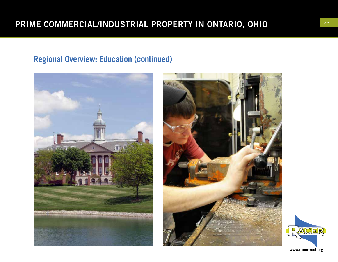## **Regional Overview: Education (continued)**





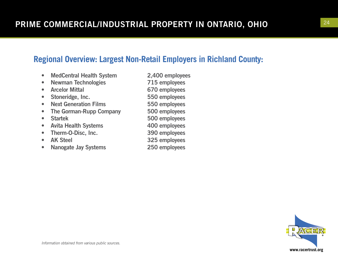## **Regional Overview: Largest Non-Retail Employers in Richland County:**

- MedCentral Health System 2,400 employees
- Newman Technologies 715 employees
- 
- Stoneridge, Inc. 550 employees
- Next Generation Films 550 employees
- The Gorman-Rupp Company 500 employees
- 
- Avita Health Systems 400 employees
- Therm-O-Disc, Inc. 390 employees
- AK Steel 325 employees
- Nanogate Jay Systems 250 employees
- Arcelor Mittal 670 employees • Startek 500 employees
	-
	-
	- -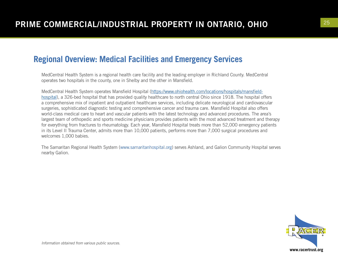## **Regional Overview: Medical Facilities and Emergency Services**

MedCentral Health System is a regional health care facility and the leading employer in Richland County. MedCentral operates two hospitals in the county, one in Shelby and the other in Mansfield.

MedCentral Health System operates Mansfield Hospital (https://www.ohiohealth.com/locations/hospitals/mansfieldhospital), a 326-bed hospital that has provided quality healthcare to north central Ohio since 1918. The hospital offers a comprehensive mix of inpatient and outpatient healthcare services, including delicate neurological and cardiovascular surgeries, sophisticated diagnostic testing and comprehensive cancer and trauma care. Mansfield Hospital also offers world-class medical care to heart and vascular patients with the latest technology and advanced procedures. The area's largest team of orthopedic and sports medicine physicians provides patients with the most advanced treatment and therapy for everything from fractures to rheumatology. Each year, Mansfield Hospital treats more than 52,000 emergency patients in its Level II Trauma Center, admits more than 10,000 patients, performs more than 7,000 surgical procedures and welcomes 1,000 babies.

The Samaritan Regional Health System (www.samaritanhospital.org) serves Ashland, and Galion Community Hospital serves nearby Galion.

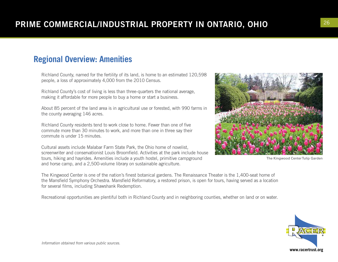## **Regional Overview: Amenities**

Richland County, named for the fertility of its land, is home to an estimated 120,598 people, a loss of approximately 4,000 from the 2010 Census.

Richland County's cost of living is less than three-quarters the national average, making it affordable for more people to buy a home or start a business.

About 85 percent of the land area is in agricultural use or forested, with 990 farms in the county averaging 146 acres.

Richland County residents tend to work close to home. Fewer than one of five commute more than 30 minutes to work, and more than one in three say their commute is under 15 minutes.

Cultural assets include Malabar Farm State Park, the Ohio home of novelist, screenwriter and conservationist Louis Broomfield. Activities at the park include house tours, hiking and hayrides. Amenities include a youth hostel, primitive campground and horse camp, and a 2,500-volume library on sustainable agriculture.

The Kingwood Center is one of the nation's finest botanical gardens. The Renaissance Theater is the 1,400-seat home of the Mansfield Symphony Orchestra. Mansfield Reformatory, a restored prison, is open for tours, having served as a location for several films, including Shawshank Redemption.

Recreational opportunities are plentiful both in Richland County and in neighboring counties, whether on land or on water.



The Kingwood Center Tulip Garden

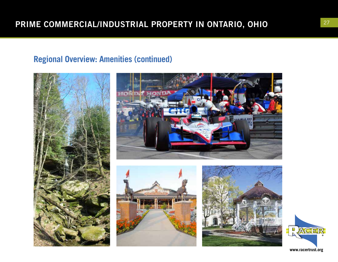# **Regional Overview: Amenities (continued)**









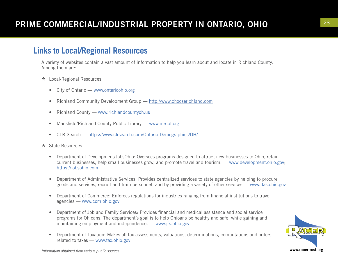### **Links to Local/Regional Resources**

A variety of websites contain a vast amount of information to help you learn about and locate in Richland County. Among them are:

- \* Local/Regional Resources
	- City of Ontario www.ontarioohio.org
	- Richland Community Development Group http://www.chooserichland.com
	- Richland County www.richlandcountyoh.us
	- Mansfield/Richland County Public Library www.mrcpl.org
	- CLR Search https://www.clrsearch.com/Ontario-Demographics/OH/
- \* State Resources
	- Department of Development/JobsOhio: Oversees programs designed to attract new businesses to Ohio, retain current businesses, help small businesses grow, and promote travel and tourism. — www.development.ohio.gov; https://jobsohio.com
	- Department of Administrative Services: Provides centralized services to state agencies by helping to procure goods and services, recruit and train personnel, and by providing a variety of other services — www.das.ohio.gov
	- Department of Commerce: Enforces regulations for industries ranging from financial institutions to travel agencies — www.com.ohio.gov
	- Department of Job and Family Services: Provides financial and medical assistance and social service programs for Ohioans. The department's goal is to help Ohioans be healthy and safe, while gaining and maintaining employment and independence. — www.jfs.ohio.gov
	- Department of Taxation: Makes all tax assessments, valuations, determinations, computations and orders related to taxes — www.tax.ohio.gov

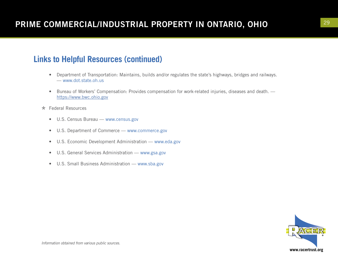## **Links to Helpful Resources (continued)**

- Department of Transportation: Maintains, builds and/or regulates the state's highways, bridges and railways. — www.dot.state.oh.us
- Bureau of Workers' Compensation: Provides compensation for work-related injuries, diseases and death. https://www.bwc.ohio.gov
- \* Federal Resources
	- U.S. Census Bureau www.census.gov
	- U.S. Department of Commerce www.commerce.gov
	- U.S. Economic Development Administration www.eda.gov
	- U.S. General Services Administration www.gsa.gov
	- U.S. Small Business Administration www.sba.gov

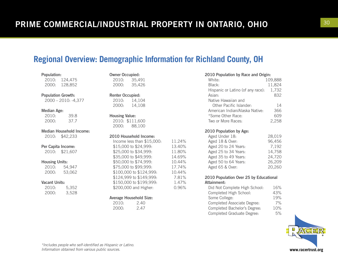## **Regional Overview: Demographic Information for Richland County, OH**

| Population: |         |
|-------------|---------|
| 2010:       | 124.475 |
| 2000:       | 128,852 |

Population Growth:

2000 – 2010: -4,377

#### Median Age:

| 2010: | 39.8 |
|-------|------|
| 2000: | 37.7 |

Median Household Income: 2010: \$42,233

#### Per Capita Income:

2010: \$21,607

#### Housing Units:

2010: 54,947 2000: 53,062

#### Vacant Units:

| 2010: | 5,352 |
|-------|-------|
| 2000: | 3,528 |

|                         | 2000: 35,426                 |        |
|-------------------------|------------------------------|--------|
| <b>Renter Occupied:</b> |                              |        |
|                         | 2010: 14,104<br>2000: 14,108 |        |
|                         |                              |        |
| <b>Housing Value:</b>   |                              |        |
|                         | 2010: \$111,600              |        |
|                         | 2000: 88,100                 |        |
|                         | 2010 Household Income:       |        |
|                         | Income less than \$15,000:   | 11.24% |
|                         | \$15,000 to \$24,999:        | 13.40% |
|                         | \$25,000 to \$34,999:        | 11.80% |
|                         | \$35,000 to \$49,999:        | 14.69% |
|                         | \$50,000 to \$74,999:        | 10.44% |

Average Household Size: 2010: 2.40 2000: 2.47

\$75,000 to \$99,999: 17.74% \$100,000 to \$124,999: 10.44% \$124,999 to \$149,999: 7.81% \$150,000 to \$199,999: 1.47% \$200,000 and Higher: 0.96%

Owner Occupied: 2010: 35,491

| 2010 Population by Race and Origin: |         |  |
|-------------------------------------|---------|--|
| White:                              | 109,888 |  |
| Black:                              | 11,824  |  |
| Hispanic or Latino (of any race):   | 1,732   |  |
| Asian:                              | 832     |  |
| Native Hawaiian and                 |         |  |
| Other Pacific Islander:             | 14      |  |
| American Indian/Alaska Native:      | 366     |  |
| *Some Other Race:                   | 609     |  |
| Two or More Races:                  | 2,258   |  |
| 2010 Population by Age:             |         |  |
| Aged Under 18:                      | 28,019  |  |
| Aged 18 & Over:                     | 96,456  |  |
| Aged 20 to 24 Years:                | 7,192   |  |
| Aged 25 to 34 Years:                | 14,758  |  |
| Aged 35 to 49 Years:                | 24,720  |  |
| Aged 50 to 64 Years:                | 26,209  |  |

#### 2010 Population Over 25 by Educational Attainment:

| Did Not Complete High School: | 16% |
|-------------------------------|-----|
| Completed High School:        | 43% |
| Some College:                 | 19% |
| Completed Associate Degree:   | 7%  |
| Completed Bachelor's Degree:  | 10% |
| Completed Graduate Degree:    | 5%  |

Aged 65 & Over: 20,260

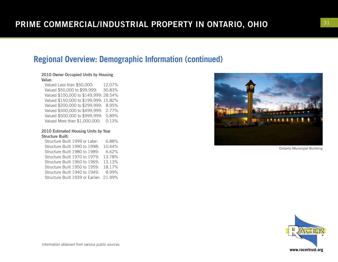### **Regional Overview: Demographic Information (continued)**

#### 2010 Owner Occupied Units by Housing Value:

Valued Less than \$50,000: 12.07% Valued \$50,000 to \$99,999: 30.83% Valued \$100,000 to \$149,999: 28.54% Valued \$150,000 to \$199,999: 15.82% Valued \$200,000 to \$299,999: 8.95% Valued \$300,000 to \$499,999: 2.77% Valued \$500,000 to \$999,999: 0.89% Valued More than \$1,000,000: 0.13%

#### 2010 Estimated Housing Units by Year Structure Built:

Structure Built 1999 or Later: 6.88% Structure Built 1990 to 1998: 10.44% Structure Built 1980 to 1989: 6.62% Structure Built 1970 to 1979: 13.78% Structure Built 1960 to 1969: 13.13% Structure Built 1950 to 1959: 18.17% Structure Built 1940 to 1949: 8.99% Structure Built 1939 or Earlier: 21.99%



Ontario Municipal Building

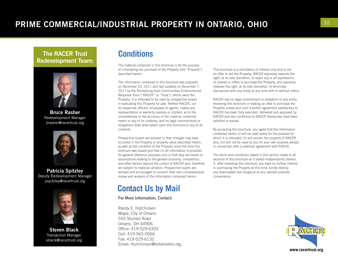# <sup>32</sup> PRIME COMMERCIAL/INDUSTRIAL PROPERTY IN ONTARIO, OHIO

#### The RACER Trust Redevelopment Team:



Bruce Rasher Redevelopment Manager brasher@racertrust.org



Patricia Spitzley Deputy Redevelopment Manager pspitzley@racertrust.org



Steven Black Transaction Manager sblack@racertrust.org

#### **Conditions**

The material contained in this brochure is for the purpose of considering the purchase of the Property (the "Property") described herein.

The information contained in this brochure was prepared on December 20, 2011 and last updated on December 7, 2017 by the Revitalizing Auto Communities Environmental Response Trust ("RACER" or "Trust"), which owns the Property. It is intended to be used by prospective buyers in evaluating this Property for sale. Neither RACER, nor its respective officers, employees or agents, makes any representation or warranty, express or implied, as to the completeness or the accuracy of the material contained herein or any of its contents, and no legal commitments or obligations shall arise based upon this brochure or any of its contents.

Prospective buyers are advised (i) that changes may have occurred in the Property or property value described herein, as well as the condition of the Property since the time this brochure was issued and that (ii) all information is provided for general reference purposes only in that they are based on assumptions relating to the general economy, competition, and other factors beyond the control of RACER and, therefore, are subject to material variation. Prospective buyers are advised and encouraged to conduct their own comprehensive review and analysis of the information contained herein.

## **Contact Us by Mail**

#### For More Information, Contact:

Randy E. Hutchinson Mayor, City of Ontario 555 Stumbo Road Ontario, OH 44906 Office: 419-529-6333 Cell: 419-565-0566 Fax: 419-529-6132 Email: rhutchinson@ontarioohio.org. This brochure is a solicitation of interest only and is not an offer to sell the Property. RACER expressly reserves the right, at its sole discretion, to reject any or all expressions of interest or offers to purchase the Property, and expressly reserves the right, at its sole discretion, to terminate discussions with any entity at any time with or without notice.

RACER has no legal commitment or obligation to any entity reviewing this brochure or making an offer to purchase the Property unless and until a written agreement satisfactory to RACER has been fully executed, delivered and approved by RACER and any conditions to RACER thereunder have been satisfied or waived.

By accepting this brochure, you agree that the information contained herein (i) will be used solely for the purpose for which it is intended; (ii) will remain the property of RACER and; (iii) will not be used by you for your own purpose except in connection with a potential agreement with RACER.

The terms and conditions stated in this section relate to all sections of this brochure as if stated independently therein. If, after reviewing this brochure, you have no further interest in purchasing the Property at this time, kindly destroy any downloaded due diligence at your earliest possible convenience.

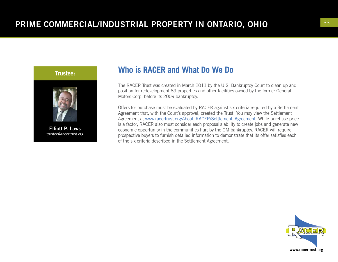

trustee@racertrust.org

#### **Who is RACER and What Do We Do**

The RACER Trust was created in March 2011 by the U.S. Bankruptcy Court to clean up and position for redevelopment 89 properties and other facilities owned by the former General Motors Corp. before its 2009 bankruptcy.

Offers for purchase must be evaluated by RACER against six criteria required by a Settlement Agreement that, with the Court's approval, created the Trust. You may view the Settlement Agreement at www.racertrust.org/About\_RACER/Settlement\_Agreement. While purchase price is a factor, RACER also must consider each proposal's ability to create jobs and generate new economic opportunity in the communities hurt by the GM bankruptcy. RACER will require prospective buyers to furnish detailed information to demonstrate that its offer satisfies each of the six criteria described in the Settlement Agreement.